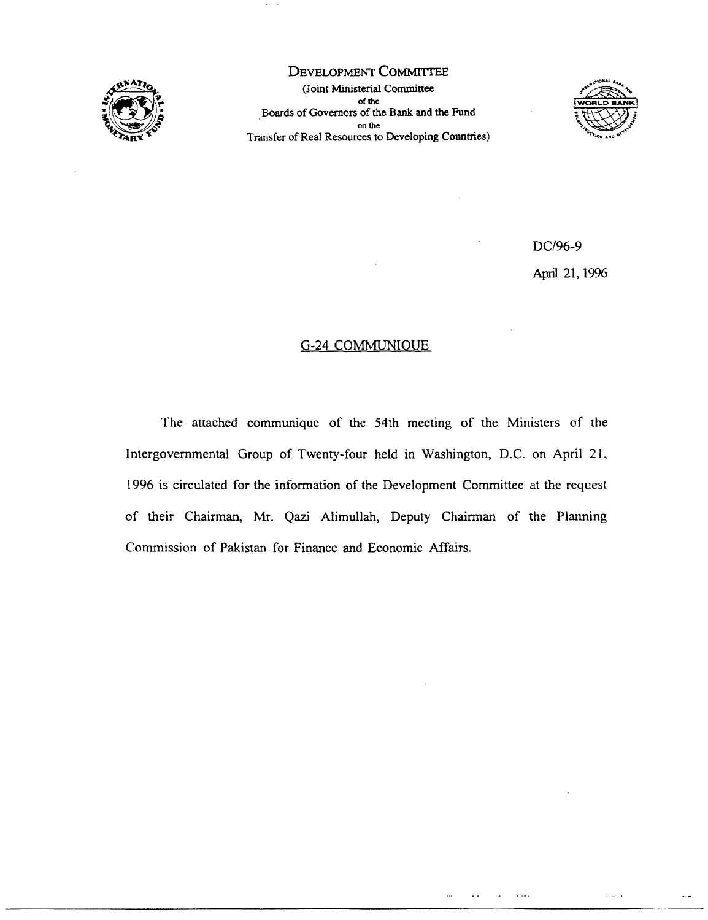

DEVELOPMENT COMMITTEE (Joint Ministerial Committee of **the** Boards of Governors of the Bank and the Fund on **the** Transfer of Real Resources to Developing Countries)



DC196-9 April 21, 1996

# G-24 COMMUNIOUE

The attached communique of the 54th meeting of the Ministers of the Intergovernmental Group of Twenty-four held in Washington, D.C. on April 21. 1996 is circulated for the information of the Development Committee at the request of their Chairman, Mr. Qazi Alimullah, Deputy Chairman of the Planning Commission of Pakistan for Finance and Economic Affairs.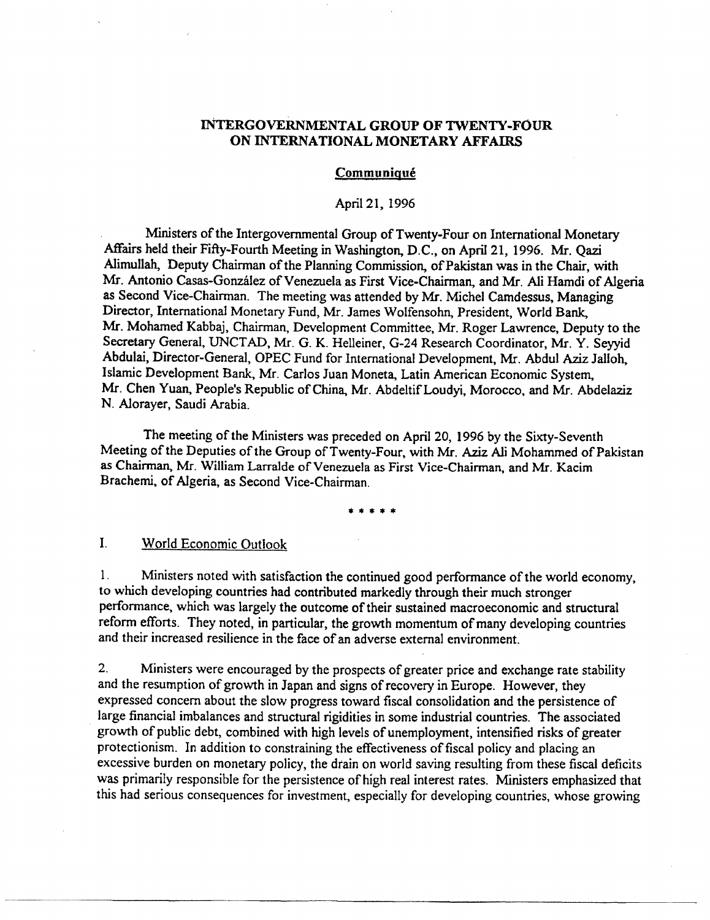## INTERGOVERNMENTAL GROUP OF TWENTY-FOUR ON **INTERNATIONAL MONETARY AFFAIRS**

#### **Communiqué**

#### April21, 1996

Ministers of the Intergovernmental Group of Twenty-Four on International Monetary Affairs held their Fifty-Fourth Meeting in Washington, D.C., on April 21, 1996. Mr. Qazi Alimullah, Deputy Chairman of the Planning Commission, of Pakistan was in the Chair, with Mr. Antonio Casas-Gonzalez of Venezuela as First Vice-Chairman, and Mr. Ali Hamdi of Algeria as Second Vice-Chairman. The meeting was attended by Mr. Michel Camdessus, Managing Director, International Monetary Fund, Mr. James Wolfensohn, President, World Bank, Mr. Mohamed Kabbaj, Chairman, Development Committee, Mr. Roger Lawrence, Deputy to the Secretary General, UNCTAD, Mr. G. K. Helleiner, G-24 Research Coordinator, Mr. Y. Seyyid Abdulai, Director-General, OPEC Fund for International Development, Mr. Abdul Aziz Jalloh, Islamic Development Bank, Mr. Carlos Juan Moneta, Latin American Economic System, Mr. Chen Yuan, People's Republic of China, Mr. Abdeltif Loudyi, Morocco, and Mr. Abdelaziz N. Alorayer, Saudi Arabia.

The meeting of the Ministers was preceded on April 20, 1996 by the Sixty-Seventh Meeting of the Deputies of the Group of Twenty-Four, with Mr. Aziz Ali Mohammed of Pakistan as Chairman, Mr. William Larralde of Venezuela as First Vice-Chairman, and Mr. Kacim Brachemi, of Algeria, as Second Vice-Chairman.

\*\*\*\*\*

# I. World Economic Outlook

1. Ministers noted with satisfaction the continued good performance of the world economy, to which developing countries had contributed markedly through their much stronger performance, which was largely the outcome of their sustained macroeconomic and structural reform efforts. They noted, in particular, the growth momentum of many developing countries and their increased resilience in the face of an adverse external environment.

2. Ministers were encouraged by the prospects of greater price and exchange rate stability and the resumption of growth in Japan and signs of recovery in Europe. However, they expressed concern about the slow progress toward fiscal consolidation and the persistence of large financial imbalances and structural rigidities in some industrial countries. The associated growth of public debt, combined with high levels of unemployment, intensified risks of greater protectionism. In addition to constraining the effectiveness of fiscal policy and placing an excessive burden on monetary policy, the drain on world saving resulting from these fiscal deficits was primarily responsible for the persistence of high real interest rates. Ministers emphasized that this had serious consequences for investment, especially for developing countries, whose growing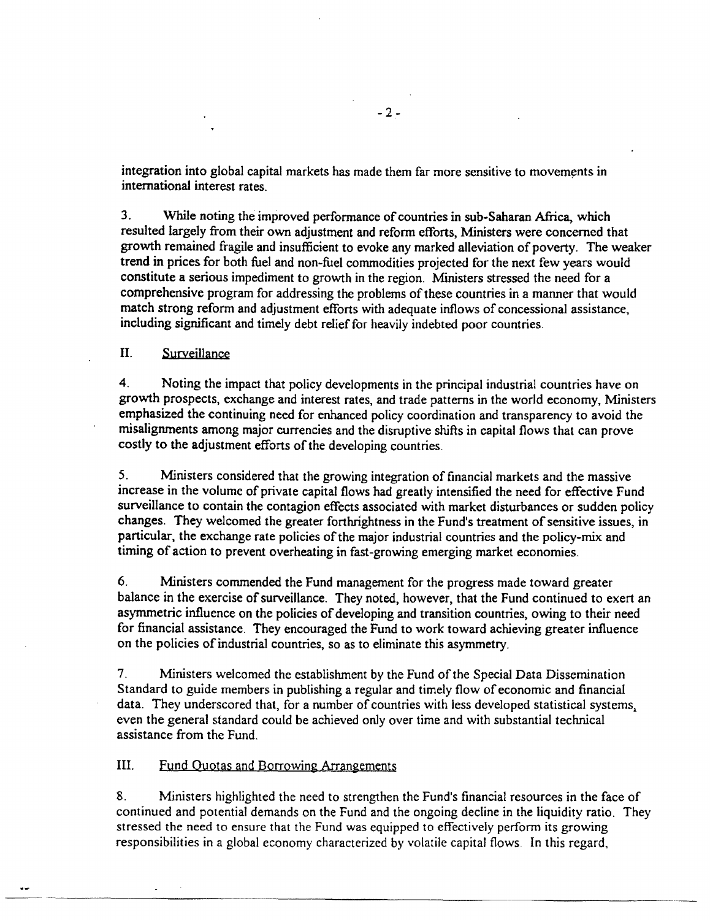integration into global capital markets has made them far more sensitive to movements in international interest rates.

3. While noting the improved performance of countries in sub-Saharan Africa, which resulted largely from their own adjustment and reform efforts, Ministers were concemed that growth remained fragile and insufficient to evoke any marked alleviation of poverty. The weaker trend in prices for both fiel and non-fuel commodities projected for the next few years would constitute a serious impediment to growth in the region. Ministers stressed the need for a comprehensive program for addressing the problems of these countries in a manner that would match strong reform and adjustment efforts with adequate inflows of concessional assistance, including significant and timely debt relief for heavily indebted poor countries.

II. Surveillance

4. Noting the impact that policy developments in the principal industrial countries have on growth prospects, exchange and interest rates, and trade patterns in the world economy, Ministers emphasized the continuing need for enhanced policy coordination and transparency to avoid the misalignments among major currencies and the disruptive shifts in capital flows that can prove costly to the adjustment efforts of the developing countries.

5. Ministers considered that the growing integration of financial markets and the massive increase in the volume of private capital flows had greatly intensified the need for effective Fund surveillance to contain the contagion effects associated with market disturbances or sudden policy changes. They welcomed the greater forthrightness in the Fund's treatment of sensitive issues, in particular, the exchange rate policies of the major industrial countries and the policy-mix and timing of action to prevent overheating in fast-growing emerging market economies.

6. Ministers commended the Fund management for the progress made toward greater balance in the exercise of surveillance. They noted, however, that the Fund continued to exert an asymmetric influence on the policies of developing and transition countries, owing to their need for financial assistance. They encouraged the Fund to work toward achieving greater influence on the policies of industrial countries, so as to eliminate this asymmetry.

7. Ministers welcomed the establishment by the Fund of the Special Data Dissemination Standard to guide members in publishing a regular and timely flow of economic and financial data. They underscored that, for a number of countries with less developed statistical systems, even the general standard could be achieved only over time and with substantial technical assistance from the Fund.

III. Fund Ouotas and Borrowing Arrangements

8. Ministers highlighted the need to strengthen the Fund's financial resources in the face of continued and potential demands on the Fund and the ongoing decline in the liquidity ratio. They stressed the need to ensure that the Fund was equipped to effectively perform its growing responsibilities in a global economy characterized by volatile capital flows In this regard,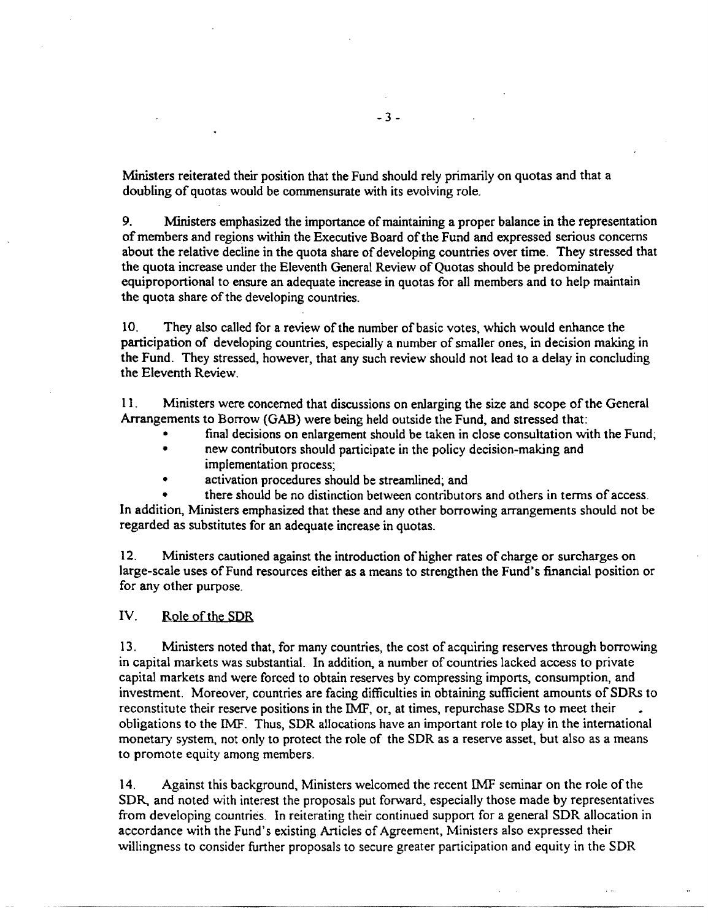Ministers reiterated their position that the Fund should rely primarily on quotas and that a doubling of quotas would be commensurate with its evolving role.

9. Ministers emphasized the importance of maintaining a proper balance in the representation of members and regions within the Executive Board of the Fund and expressed serious concems about the relative decline in the quota share of developing countries over time. They stressed that the quota increase under the Eleventh General Review of Quotas should be predorninately equiproportional to ensure an adequate increase in quotas for all members and to help maintain the quota share of the developing countries.

10. They also called for a review of the number of basic votes, which would enhance the participation of developing countries, especially a number of smaller ones, in decision making in the Fund. They stressed, however, that any such review should not lead to a delay in concluding the Eleventh Review.

11. Ministers were concerned that discussions on enlarging the size and scope of the General Arrangements to Borrow (GAB) were being held outside the Fund, and stressed that:

- final decisions on enlargement should be taken in close consultation with the Fund,
- new contributors should participate in the policy decision-making and implementation process;
- activation procedures should be streamlined; and

there should be no distinction between contributors and others in terms of access. In addition, Ministers emphasized that these and any other borrowing arrangements should not be regarded as substitutes for an adequate increase in quotas.

12. Ministers cautioned against the introduction of higher rates of charge or surcharges on large-scale uses of Fund resources either as a means to strengthen the Fund's financial position or for any other purpose.

### IV. Role of the SDR

13. Ministers noted that, for many countries, the cost of acquiring reserves through borrowing in capital markets was substantial. In addition, a number of countries lacked access to private capital markets and were forced to obtain reserves by compressing imports, consumption, and investment. Moreover, countries are facing difficulties in obtaining sufficient amounts of SDRs to reconstitute their reserve positions in the IMF, or, at times, repurchase SDRs to meet their obligations to the IMF. Thus, SDR allocations have an important role to play in the international monetary system, not only to protect the role of the SDR as a reserve asset, but also as a means to promote equity among members.

14. Against this background, Ministers welcomed the recent IMF seminar on the role of the SDR, and noted with interest the proposals put forward, especially those made by representatives from developing countries. In reiterating their continued support for a general SDR allocation in accordance with the Fund's existing Articles of Agreement, Ministers also expressed their willingness to consider further proposals to secure greater participation and equity in the SDR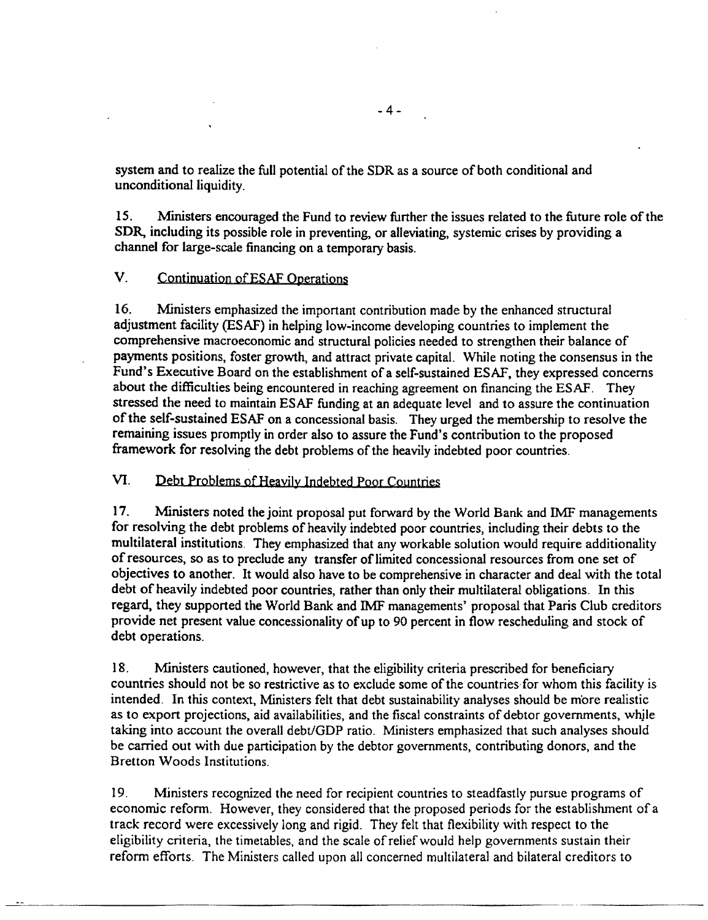system and to realize the full potential of the SDR as a source of both conditional and unconditional liquidity.

15. Ministers encouraged the Fund to review further the issues related to the future role of the SDR, including its possible role in preventing, or alleviating, systemic crises by providing a channel for large-scale financing on a temporary basis.

# V. Continuation of ESAF Operations

16. Ministers emphasized the important contribution made by the enhanced structural adjustment facility (ESAF) in helping low-income developing countries to implement the comprehensive macroeconomic and structural policies needed to strengthen their balance of payments positions, foster growth, and attract private capital. While noting the consensus in the Fund's Executive Board on the establishment of a self-sustained ESAF, they expressed concerns about the difficulties being encountered in reaching agreement on financing the ESAF. They stressed the need to maintain ESAF funding at an adequate level and to assure the continuation of the self-sustained ESAF on a concessional basis. They urged the membership to resolve the remaining issues promptly in order also to assure the Fund's contribution to the proposed framework for resolving the debt problems of the heavily indebted poor countries.

# VI. Debt Problems of Heavily Indebted Poor Countres

17. Ministers noted the joint proposal put forward by the World Bank and IMF managements for resolving the debt problems of heavily indebted poor countries, including their debts to the multilateral institutions. They emphasized that any workable solution would require additionality of resources, so as to preclude any transfer of limited concessional resources from one set of objectives to another. It would also have to be comprehensive in character and deal with the total debt of heavily indebted poor countries, rather than only their multilateral obligations. In this regard, they supported the World Bank and IMF managements' proposal that Paris Club creditors provide net present value concessionality of up to 90 percent in flow rescheduling and stock of debt operations.

18. Ministers cautioned, however, that the eligibility criteria prescribed for beneficiary countries should not be so restrictive as to exclude some of the countries for whom this facility is intended. In this context, Ministers felt that debt sustainability analyses should be more realistic as to export projections, aid availabilities, and the fiscal constraints of debtor governments, while taking into account the overall debt/GDP ratio. Ministers emphasized that such analyses should be carried out with due participation by the debtor governments, contributing donors, and the Bretton Woods Institutions.

19. Ministers recognized the need for recipient countries to steadfastly pursue programs of economic reform. However, they considered that the proposed periods for the establishment of a track record were excessively long and rigid. They felt that flexibility with respect to the eligibility criteria, the timetables, and the scale of relief would help governments sustain their reform efforts. The Ministers called upon all concerned multilateral and bilateral creditors to